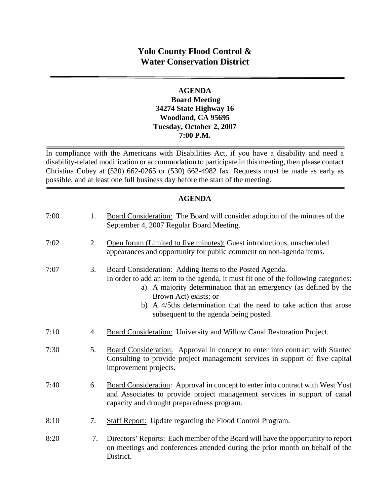# **Yolo County Flood Control & Water Conservation District**

#### **AGENDA Board Meeting 34274 State Highway 16 Woodland, CA 95695 Tuesday, October 2, 2007 7:00 P.M.**

In compliance with the Americans with Disabilities Act, if you have a disability and need a disability-related modification or accommodation to participate in this meeting, then please contact Christina Cobey at (530) 662-0265 or (530) 662-4982 fax. Requests must be made as early as possible, and at least one full business day before the start of the meeting.

#### **AGENDA**

| 7:00 | 1. | Board Consideration: The Board will consider adoption of the minutes of the<br>September 4, 2007 Regular Board Meeting.                                                                                                                                                                                                                                       |
|------|----|---------------------------------------------------------------------------------------------------------------------------------------------------------------------------------------------------------------------------------------------------------------------------------------------------------------------------------------------------------------|
| 7:02 | 2. | Open forum (Limited to five minutes): Guest introductions, unscheduled<br>appearances and opportunity for public comment on non-agenda items.                                                                                                                                                                                                                 |
| 7:07 | 3. | Board Consideration: Adding Items to the Posted Agenda.<br>In order to add an item to the agenda, it must fit one of the following categories:<br>a) A majority determination that an emergency (as defined by the<br>Brown Act) exists; or<br>A 4/5ths determination that the need to take action that arose<br>b)<br>subsequent to the agenda being posted. |
| 7:10 | 4. | Board Consideration: University and Willow Canal Restoration Project.                                                                                                                                                                                                                                                                                         |
| 7:30 | 5. | Board Consideration: Approval in concept to enter into contract with Stantec<br>Consulting to provide project management services in support of five capital<br>improvement projects.                                                                                                                                                                         |
| 7:40 | 6. | Board Consideration: Approval in concept to enter into contract with West Yost<br>and Associates to provide project management services in support of canal<br>capacity and drought preparedness program.                                                                                                                                                     |
| 8:10 | 7. | <b>Staff Report:</b> Update regarding the Flood Control Program.                                                                                                                                                                                                                                                                                              |
| 8:20 | 7. | Directors' Reports: Each member of the Board will have the opportunity to report<br>on meetings and conferences attended during the prior month on behalf of the<br>District.                                                                                                                                                                                 |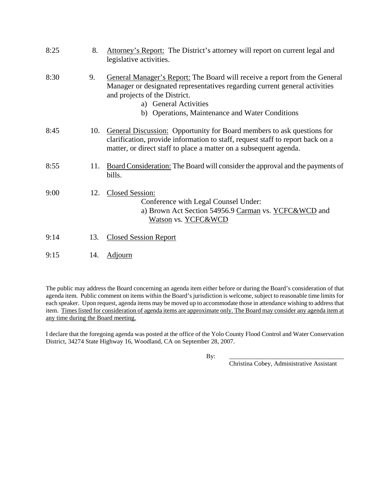| 8:25 | 8.  | Attorney's Report: The District's attorney will report on current legal and<br>legislative activities.                                                                                                                                                                |
|------|-----|-----------------------------------------------------------------------------------------------------------------------------------------------------------------------------------------------------------------------------------------------------------------------|
| 8:30 | 9.  | General Manager's Report: The Board will receive a report from the General<br>Manager or designated representatives regarding current general activities<br>and projects of the District.<br>a) General Activities<br>b) Operations, Maintenance and Water Conditions |
| 8:45 | 10. | <b>General Discussion:</b> Opportunity for Board members to ask questions for<br>clarification, provide information to staff, request staff to report back on a<br>matter, or direct staff to place a matter on a subsequent agenda.                                  |
| 8:55 | 11. | <b>Board Consideration:</b> The Board will consider the approval and the payments of<br>bills.                                                                                                                                                                        |
| 9:00 | 12. | Closed Session:<br>Conference with Legal Counsel Under:<br>a) Brown Act Section 54956.9 Carman vs. YCFC&WCD and<br>Watson vs. YCFC&WCD                                                                                                                                |
| 9:14 | 13. | <b>Closed Session Report</b>                                                                                                                                                                                                                                          |
| 9:15 | 14. | <u>Adjourn</u>                                                                                                                                                                                                                                                        |

The public may address the Board concerning an agenda item either before or during the Board's consideration of that agenda item. Public comment on items within the Board's jurisdiction is welcome, subject to reasonable time limits for each speaker. Upon request, agenda items may be moved up to accommodate those in attendance wishing to address that item. Times listed for consideration of agenda items are approximate only. The Board may consider any agenda item at any time during the Board meeting.

I declare that the foregoing agenda was posted at the office of the Yolo County Flood Control and Water Conservation District, 34274 State Highway 16, Woodland, CA on September 28, 2007.

By: \_\_\_\_\_\_\_\_\_\_\_\_\_\_\_\_\_\_\_\_\_\_\_\_\_\_\_\_\_\_\_\_\_\_\_\_\_

Christina Cobey, Administrative Assistant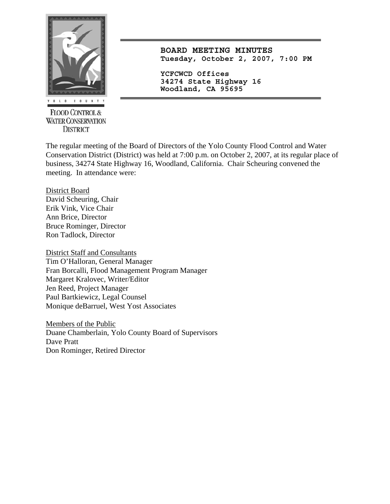

**FLOOD CONTROL & WATER CONSERVATION DISTRICT** 

**BOARD MEETING MINUTES Tuesday, October 2, 2007, 7:00 PM**

**YCFCWCD Offices 34274 State Highway 16 Woodland, CA 95695** 

The regular meeting of the Board of Directors of the Yolo County Flood Control and Water Conservation District (District) was held at 7:00 p.m. on October 2, 2007, at its regular place of business, 34274 State Highway 16, Woodland, California. Chair Scheuring convened the meeting. In attendance were:

District Board David Scheuring, Chair Erik Vink, Vice Chair Ann Brice, Director Bruce Rominger, Director Ron Tadlock, Director

District Staff and Consultants Tim O'Halloran, General Manager Fran Borcalli, Flood Management Program Manager Margaret Kralovec, Writer/Editor Jen Reed, Project Manager Paul Bartkiewicz, Legal Counsel Monique deBarruel, West Yost Associates

Members of the Public Duane Chamberlain, Yolo County Board of Supervisors Dave Pratt Don Rominger, Retired Director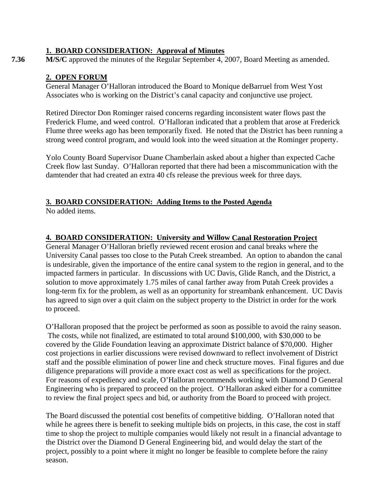### **1. BOARD CONSIDERATION: Approval of Minutes**

**7.36 M/S/C** approved the minutes of the Regular September 4, 2007, Board Meeting as amended.

### **2. OPEN FORUM**

General Manager O'Halloran introduced the Board to Monique deBarruel from West Yost Associates who is working on the District's canal capacity and conjunctive use project.

Retired Director Don Rominger raised concerns regarding inconsistent water flows past the Frederick Flume, and weed control. O'Halloran indicated that a problem that arose at Frederick Flume three weeks ago has been temporarily fixed. He noted that the District has been running a strong weed control program, and would look into the weed situation at the Rominger property.

Yolo County Board Supervisor Duane Chamberlain asked about a higher than expected Cache Creek flow last Sunday. O'Halloran reported that there had been a miscommunication with the damtender that had created an extra 40 cfs release the previous week for three days.

#### **3. BOARD CONSIDERATION: Adding Items to the Posted Agenda**

No added items.

## **4. BOARD CONSIDERATION: University and Willow Canal Restoration Project**

General Manager O'Halloran briefly reviewed recent erosion and canal breaks where the University Canal passes too close to the Putah Creek streambed. An option to abandon the canal is undesirable, given the importance of the entire canal system to the region in general, and to the impacted farmers in particular. In discussions with UC Davis, Glide Ranch, and the District, a solution to move approximately 1.75 miles of canal farther away from Putah Creek provides a long-term fix for the problem, as well as an opportunity for streambank enhancement. UC Davis has agreed to sign over a quit claim on the subject property to the District in order for the work to proceed.

O'Halloran proposed that the project be performed as soon as possible to avoid the rainy season. The costs, while not finalized, are estimated to total around \$100,000, with \$30,000 to be covered by the Glide Foundation leaving an approximate District balance of \$70,000. Higher cost projections in earlier discussions were revised downward to reflect involvement of District staff and the possible elimination of power line and check structure moves. Final figures and due diligence preparations will provide a more exact cost as well as specifications for the project. For reasons of expediency and scale, O'Halloran recommends working with Diamond D General Engineering who is prepared to proceed on the project. O'Halloran asked either for a committee to review the final project specs and bid, or authority from the Board to proceed with project.

The Board discussed the potential cost benefits of competitive bidding. O'Halloran noted that while he agrees there is benefit to seeking multiple bids on projects, in this case, the cost in staff time to shop the project to multiple companies would likely not result in a financial advantage to the District over the Diamond D General Engineering bid, and would delay the start of the project, possibly to a point where it might no longer be feasible to complete before the rainy season.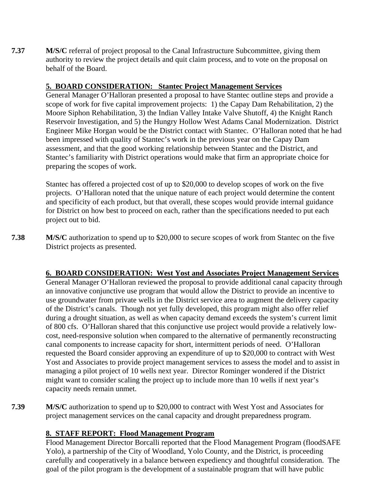**7.37 M/S/C** referral of project proposal to the Canal Infrastructure Subcommittee, giving them authority to review the project details and quit claim process, and to vote on the proposal on behalf of the Board.

## **5. BOARD CONSIDERATION: Stantec Project Management Services**

General Manager O'Halloran presented a proposal to have Stantec outline steps and provide a scope of work for five capital improvement projects: 1) the Capay Dam Rehabilitation, 2) the Moore Siphon Rehabilitation, 3) the Indian Valley Intake Valve Shutoff, 4) the Knight Ranch Reservoir Investigation, and 5) the Hungry Hollow West Adams Canal Modernization. District Engineer Mike Horgan would be the District contact with Stantec. O'Halloran noted that he had been impressed with quality of Stantec's work in the previous year on the Capay Dam assessment, and that the good working relationship between Stantec and the District, and Stantec's familiarity with District operations would make that firm an appropriate choice for preparing the scopes of work.

Stantec has offered a projected cost of up to \$20,000 to develop scopes of work on the five projects. O'Halloran noted that the unique nature of each project would determine the content and specificity of each product, but that overall, these scopes would provide internal guidance for District on how best to proceed on each, rather than the specifications needed to put each project out to bid.

**7.38 M/S/C** authorization to spend up to \$20,000 to secure scopes of work from Stantec on the five District projects as presented.

### **6. BOARD CONSIDERATION: West Yost and Associates Project Management Services**

General Manager O'Halloran reviewed the proposal to provide additional canal capacity through an innovative conjunctive use program that would allow the District to provide an incentive to use groundwater from private wells in the District service area to augment the delivery capacity of the District's canals. Though not yet fully developed, this program might also offer relief during a drought situation, as well as when capacity demand exceeds the system's current limit of 800 cfs. O'Halloran shared that this conjunctive use project would provide a relatively lowcost, need-responsive solution when compared to the alternative of permanently reconstructing canal components to increase capacity for short, intermittent periods of need. O'Halloran requested the Board consider approving an expenditure of up to \$20,000 to contract with West Yost and Associates to provide project management services to assess the model and to assist in managing a pilot project of 10 wells next year. Director Rominger wondered if the District might want to consider scaling the project up to include more than 10 wells if next year's capacity needs remain unmet.

**7.39 M/S/C** authorization to spend up to \$20,000 to contract with West Yost and Associates for project management services on the canal capacity and drought preparedness program.

## **8. STAFF REPORT: Flood Management Program**

Flood Management Director Borcalli reported that the Flood Management Program (floodSAFE Yolo), a partnership of the City of Woodland, Yolo County, and the District, is proceeding carefully and cooperatively in a balance between expediency and thoughtful consideration. The goal of the pilot program is the development of a sustainable program that will have public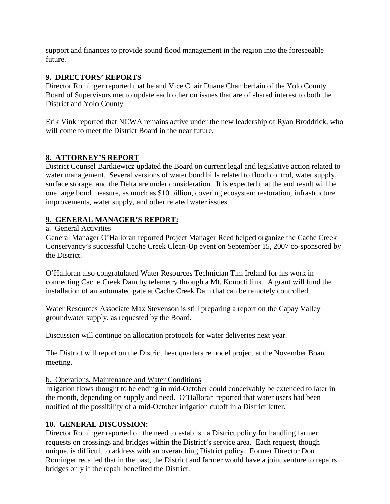support and finances to provide sound flood management in the region into the foreseeable future.

## **9. DIRECTORS' REPORTS**

Director Rominger reported that he and Vice Chair Duane Chamberlain of the Yolo County Board of Supervisors met to update each other on issues that are of shared interest to both the District and Yolo County.

Erik Vink reported that NCWA remains active under the new leadership of Ryan Broddrick, who will come to meet the District Board in the near future.

## **8. ATTORNEY'S REPORT**

District Counsel Bartkiewicz updated the Board on current legal and legislative action related to water management. Several versions of water bond bills related to flood control, water supply, surface storage, and the Delta are under consideration. It is expected that the end result will be one large bond measure, as much as \$10 billion, covering ecosystem restoration, infrastructure improvements, water supply, and other related water issues.

## **9. GENERAL MANAGER'S REPORT:**

#### a. General Activities

General Manager O'Halloran reported Project Manager Reed helped organize the Cache Creek Conservancy's successful Cache Creek Clean-Up event on September 15, 2007 co-sponsored by the District.

O'Halloran also congratulated Water Resources Technician Tim Ireland for his work in connecting Cache Creek Dam by telemetry through a Mt. Konocti link. A grant will fund the installation of an automated gate at Cache Creek Dam that can be remotely controlled.

Water Resources Associate Max Stevenson is still preparing a report on the Capay Valley groundwater supply, as requested by the Board.

Discussion will continue on allocation protocols for water deliveries next year.

The District will report on the District headquarters remodel project at the November Board meeting.

### b. Operations, Maintenance and Water Conditions

Irrigation flows thought to be ending in mid-October could conceivably be extended to later in the month, depending on supply and need. O'Halloran reported that water users had been notified of the possibility of a mid-October irrigation cutoff in a District letter.

### **10. GENERAL DISCUSSION:**

Director Rominger reported on the need to establish a District policy for handling farmer requests on crossings and bridges within the District's service area. Each request, though unique, is difficult to address with an overarching District policy. Former Director Don Rominger recalled that in the past, the District and farmer would have a joint venture to repairs bridges only if the repair benefited the District.